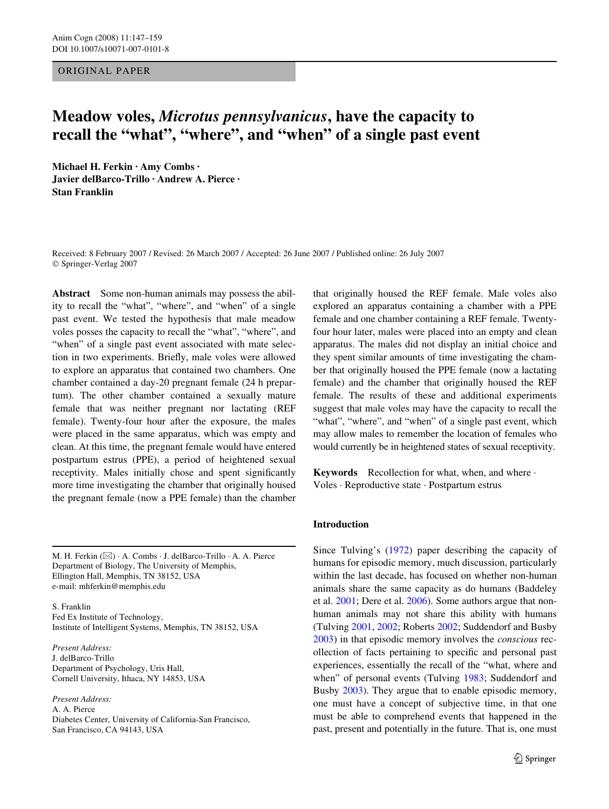ORIGINAL PAPER

# **Meadow voles,** *Microtus pennsylvanicus***, have the capacity to recall the "what", "where", and "when" of a single past event**

**Michael H. Ferkin · Amy Combs · Javier delBarco-Trillo · Andrew A. Pierce · Stan Franklin** 

Received: 8 February 2007 / Revised: 26 March 2007 / Accepted: 26 June 2007 / Published online: 26 July 2007 © Springer-Verlag 2007

**Abstract** Some non-human animals may possess the ability to recall the "what", "where", and "when" of a single past event. We tested the hypothesis that male meadow voles posses the capacity to recall the "what", "where", and "when" of a single past event associated with mate selection in two experiments. Briefly, male voles were allowed to explore an apparatus that contained two chambers. One chamber contained a day-20 pregnant female (24 h prepartum). The other chamber contained a sexually mature female that was neither pregnant nor lactating (REF female). Twenty-four hour after the exposure, the males were placed in the same apparatus, which was empty and clean. At this time, the pregnant female would have entered postpartum estrus (PPE), a period of heightened sexual receptivity. Males initially chose and spent significantly more time investigating the chamber that originally housed the pregnant female (now a PPE female) than the chamber

M. H. Ferkin (&) · A. Combs · J. delBarco-Trillo · A. A. Pierce Department of Biology, The University of Memphis, Ellington Hall, Memphis, TN 38152, USA e-mail: mhferkin@memphis.edu

S. Franklin Fed Ex Institute of Technology, Institute of Intelligent Systems, Memphis, TN 38152, USA

*Present Address:* J. delBarco-Trillo Department of Psychology, Uris Hall, Cornell University, Ithaca, NY 14853, USA

*Present Address:* A. A. Pierce Diabetes Center, University of California-San Francisco, San Francisco, CA 94143, USA

that originally housed the REF female. Male voles also explored an apparatus containing a chamber with a PPE female and one chamber containing a REF female. Twentyfour hour later, males were placed into an empty and clean apparatus. The males did not display an initial choice and they spent similar amounts of time investigating the chamber that originally housed the PPE female (now a lactating female) and the chamber that originally housed the REF female. The results of these and additional experiments suggest that male voles may have the capacity to recall the "what", "where", and "when" of a single past event, which may allow males to remember the location of females who would currently be in heightened states of sexual receptivity.

**Keywords** Recollection for what, when, and where · Voles · Reproductive state · Postpartum estrus

# **Introduction**

Since Tulving's ([1972\)](#page-11-0) paper describing the capacity of humans for episodic memory, much discussion, particularly within the last decade, has focused on whether non-human animals share the same capacity as do humans (Baddeley et al. [2001](#page-11-1); Dere et al. [2006\)](#page-11-2). Some authors argue that nonhuman animals may not share this ability with humans (Tulving [2001,](#page-12-0) [2002;](#page-12-1) Roberts [2002](#page-11-3); Suddendorf and Busby [2003](#page-11-4)) in that episodic memory involves the *conscious* recollection of facts pertaining to specific and personal past experiences, essentially the recall of the "what, where and when" of personal events (Tulving [1983](#page-12-2); Suddendorf and Busby [2003\)](#page-11-4). They argue that to enable episodic memory, one must have a concept of subjective time, in that one must be able to comprehend events that happened in the past, present and potentially in the future. That is, one must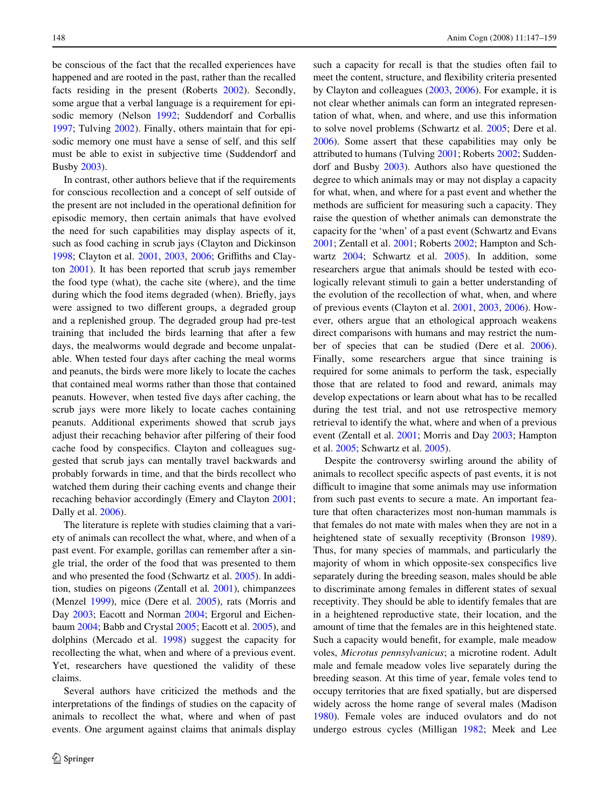be conscious of the fact that the recalled experiences have happened and are rooted in the past, rather than the recalled facts residing in the present (Roberts [2002](#page-11-3)). Secondly, some argue that a verbal language is a requirement for episodic memory (Nelson [1992;](#page-11-5) Suddendorf and Corballis [1997](#page-11-6); Tulving [2002\)](#page-12-1). Finally, others maintain that for episodic memory one must have a sense of self, and this self must be able to exist in subjective time (Suddendorf and Busby [2003](#page-11-4)).

In contrast, other authors believe that if the requirements for conscious recollection and a concept of self outside of the present are not included in the operational definition for episodic memory, then certain animals that have evolved the need for such capabilities may display aspects of it, such as food caching in scrub jays (Clayton and Dickinson [1998](#page-11-7); Clayton et al. [2001,](#page-11-8) [2003,](#page-11-9) [2006;](#page-11-10) Griffiths and Clayton [2001\)](#page-11-11). It has been reported that scrub jays remember the food type (what), the cache site (where), and the time during which the food items degraded (when). Briefly, jays were assigned to two different groups, a degraded group and a replenished group. The degraded group had pre-test training that included the birds learning that after a few days, the mealworms would degrade and become unpalatable. When tested four days after caching the meal worms and peanuts, the birds were more likely to locate the caches that contained meal worms rather than those that contained peanuts. However, when tested five days after caching, the scrub jays were more likely to locate caches containing peanuts. Additional experiments showed that scrub jays adjust their recaching behavior after pilfering of their food cache food by conspecifics. Clayton and colleagues suggested that scrub jays can mentally travel backwards and probably forwards in time, and that the birds recollect who watched them during their caching events and change their recaching behavior accordingly (Emery and Clayton [2001](#page-11-12); Dally et al. [2006\)](#page-11-13).

The literature is replete with studies claiming that a variety of animals can recollect the what, where, and when of a past event. For example, gorillas can remember after a single trial, the order of the food that was presented to them and who presented the food (Schwartz et al. [2005](#page-11-14)). In addition, studies on pigeons (Zentall et al*.* [2001](#page-12-3)), chimpanzees (Menzel [1999](#page-11-15)), mice (Dere et al*.* [2005\)](#page-11-16), rats (Morris and Day [2003](#page-11-17); Eacott and Norman [2004](#page-11-18); Ergorul and Eichenbaum [2004;](#page-11-19) Babb and Crystal [2005;](#page-11-20) Eacott et al. [2005\)](#page-11-21), and dolphins (Mercado et al. [1998\)](#page-11-22) suggest the capacity for recollecting the what, when and where of a previous event. Yet, researchers have questioned the validity of these claims.

Several authors have criticized the methods and the interpretations of the findings of studies on the capacity of animals to recollect the what, where and when of past events. One argument against claims that animals display such a capacity for recall is that the studies often fail to meet the content, structure, and flexibility criteria presented by Clayton and colleagues [\(2003](#page-11-9), [2006\)](#page-11-10). For example, it is not clear whether animals can form an integrated representation of what, when, and where, and use this information to solve novel problems (Schwartz et al. [2005;](#page-11-14) Dere et al. [2006](#page-11-2)). Some assert that these capabilities may only be attributed to humans (Tulving [2001](#page-12-0); Roberts [2002;](#page-11-3) Suddendorf and Busby [2003](#page-11-4)). Authors also have questioned the degree to which animals may or may not display a capacity for what, when, and where for a past event and whether the methods are sufficient for measuring such a capacity. They raise the question of whether animals can demonstrate the capacity for the 'when' of a past event (Schwartz and Evans [2001](#page-11-23); Zentall et al. [2001;](#page-12-3) Roberts [2002;](#page-11-3) Hampton and Schwartz [2004;](#page-11-24) Schwartz et al. [2005](#page-11-14)). In addition, some researchers argue that animals should be tested with ecologically relevant stimuli to gain a better understanding of the evolution of the recollection of what, when, and where of previous events (Clayton et al. [2001,](#page-11-8) [2003,](#page-11-9) [2006\)](#page-11-10). However, others argue that an ethological approach weakens direct comparisons with humans and may restrict the number of species that can be studied (Dere et al. [2006\)](#page-11-2). Finally, some researchers argue that since training is required for some animals to perform the task, especially those that are related to food and reward, animals may develop expectations or learn about what has to be recalled during the test trial, and not use retrospective memory retrieval to identify the what, where and when of a previous event (Zentall et al. [2001](#page-12-3); Morris and Day [2003](#page-11-17); Hampton et al. [2005](#page-11-25); Schwartz et al. [2005\)](#page-11-14).

Despite the controversy swirling around the ability of animals to recollect specific aspects of past events, it is not difficult to imagine that some animals may use information from such past events to secure a mate. An important feature that often characterizes most non-human mammals is that females do not mate with males when they are not in a heightened state of sexually receptivity (Bronson [1989\)](#page-11-26). Thus, for many species of mammals, and particularly the majority of whom in which opposite-sex conspecifics live separately during the breeding season, males should be able to discriminate among females in different states of sexual receptivity. They should be able to identify females that are in a heightened reproductive state, their location, and the amount of time that the females are in this heightened state. Such a capacity would benefit, for example, male meadow voles, *Microtus pennsylvanicus*; a microtine rodent. Adult male and female meadow voles live separately during the breeding season. At this time of year, female voles tend to occupy territories that are fixed spatially, but are dispersed widely across the home range of several males (Madison [1980](#page-11-27)). Female voles are induced ovulators and do not undergo estrous cycles (Milligan [1982;](#page-11-28) Meek and Lee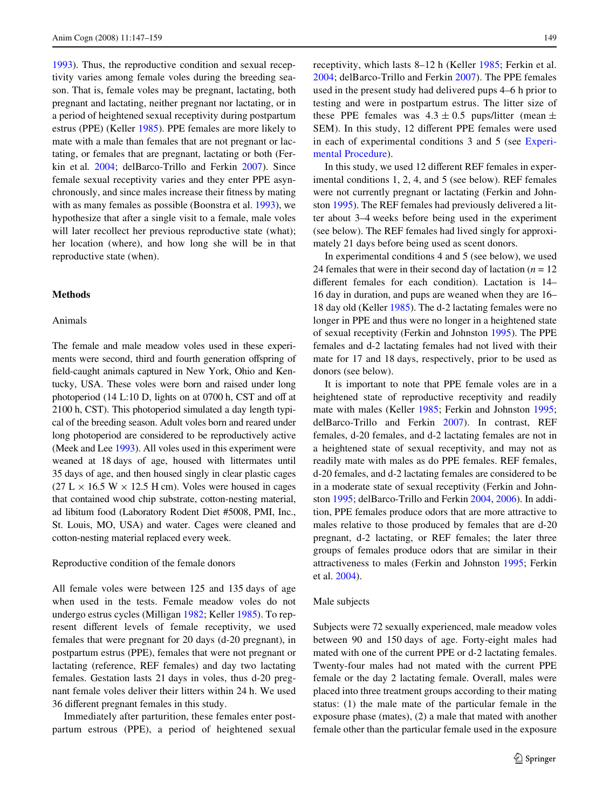[1993](#page-11-29)). Thus, the reproductive condition and sexual receptivity varies among female voles during the breeding season. That is, female voles may be pregnant, lactating, both pregnant and lactating, neither pregnant nor lactating, or in a period of heightened sexual receptivity during postpartum estrus (PPE) (Keller [1985](#page-11-30)). PPE females are more likely to mate with a male than females that are not pregnant or lactating, or females that are pregnant, lactating or both (Ferkin et al*.* [2004;](#page-11-31) delBarco-Trillo and Ferkin [2007\)](#page-11-32). Since female sexual receptivity varies and they enter PPE asynchronously, and since males increase their fitness by mating with as many females as possible (Boonstra et al. [1993](#page-11-33)), we hypothesize that after a single visit to a female, male voles will later recollect her previous reproductive state (what); her location (where), and how long she will be in that reproductive state (when).

# **Methods**

### Animals

The female and male meadow voles used in these experiments were second, third and fourth generation offspring of field-caught animals captured in New York, Ohio and Kentucky, USA. These voles were born and raised under long photoperiod (14 L:10 D, lights on at 0700 h, CST and off at 2100 h, CST). This photoperiod simulated a day length typical of the breeding season. Adult voles born and reared under long photoperiod are considered to be reproductively active (Meek and Lee [1993\)](#page-11-29). All voles used in this experiment were weaned at 18 days of age, housed with littermates until 35 days of age, and then housed singly in clear plastic cages  $(27 L \times 16.5 W \times 12.5 H cm)$ . Voles were housed in cages that contained wood chip substrate, cotton-nesting material, ad libitum food (Laboratory Rodent Diet #5008, PMI, Inc., St. Louis, MO, USA) and water. Cages were cleaned and cotton-nesting material replaced every week.

# Reproductive condition of the female donors

All female voles were between 125 and 135 days of age when used in the tests. Female meadow voles do not undergo estrus cycles (Milligan [1982](#page-11-28); Keller [1985\)](#page-11-30). To represent different levels of female receptivity, we used females that were pregnant for 20 days (d-20 pregnant), in postpartum estrus (PPE), females that were not pregnant or lactating (reference, REF females) and day two lactating females. Gestation lasts 21 days in voles, thus d-20 pregnant female voles deliver their litters within 24 h. We used 36 different pregnant females in this study.

Immediately after parturition, these females enter postpartum estrous (PPE), a period of heightened sexual receptivity, which lasts 8–12 h (Keller [1985;](#page-11-30) Ferkin et al. [2004;](#page-11-31) delBarco-Trillo and Ferkin [2007](#page-11-32)). The PPE females used in the present study had delivered pups 4–6 h prior to testing and were in postpartum estrus. The litter size of these PPE females was  $4.3 \pm 0.5$  pups/litter (mean  $\pm$ SEM). In this study, 12 different PPE females were used in each of experimental conditions 3 and 5 (see [Experi](#page-3-0)[mental Procedure](#page-3-0)).

In this study, we used 12 different REF females in experimental conditions 1, 2, 4, and 5 (see below). REF females were not currently pregnant or lactating (Ferkin and Johnston [1995](#page-11-34)). The REF females had previously delivered a litter about 3–4 weeks before being used in the experiment (see below). The REF females had lived singly for approximately 21 days before being used as scent donors.

In experimental conditions 4 and 5 (see below), we used 24 females that were in their second day of lactation  $(n = 12)$ different females for each condition). Lactation is 14– 16 day in duration, and pups are weaned when they are 16– 18 day old (Keller [1985](#page-11-30)). The d-2 lactating females were no longer in PPE and thus were no longer in a heightened state of sexual receptivity (Ferkin and Johnston [1995\)](#page-11-34). The PPE females and d-2 lactating females had not lived with their mate for 17 and 18 days, respectively, prior to be used as donors (see below).

It is important to note that PPE female voles are in a heightened state of reproductive receptivity and readily mate with males (Keller [1985;](#page-11-30) Ferkin and Johnston [1995;](#page-11-34) delBarco-Trillo and Ferkin [2007](#page-11-32)). In contrast, REF females, d-20 females, and d-2 lactating females are not in a heightened state of sexual receptivity, and may not as readily mate with males as do PPE females. REF females, d-20 females, and d-2 lactating females are considered to be in a moderate state of sexual receptivity (Ferkin and Johnston [1995](#page-11-34); delBarco-Trillo and Ferkin [2004](#page-11-35), [2006\)](#page-11-36). In addition, PPE females produce odors that are more attractive to males relative to those produced by females that are d-20 pregnant, d-2 lactating, or REF females; the later three groups of females produce odors that are similar in their attractiveness to males (Ferkin and Johnston [1995](#page-11-34); Ferkin et al. [2004](#page-11-31)).

# Male subjects

Subjects were 72 sexually experienced, male meadow voles between 90 and 150 days of age. Forty-eight males had mated with one of the current PPE or d-2 lactating females. Twenty-four males had not mated with the current PPE female or the day 2 lactating female. Overall, males were placed into three treatment groups according to their mating status: (1) the male mate of the particular female in the exposure phase (mates), (2) a male that mated with another female other than the particular female used in the exposure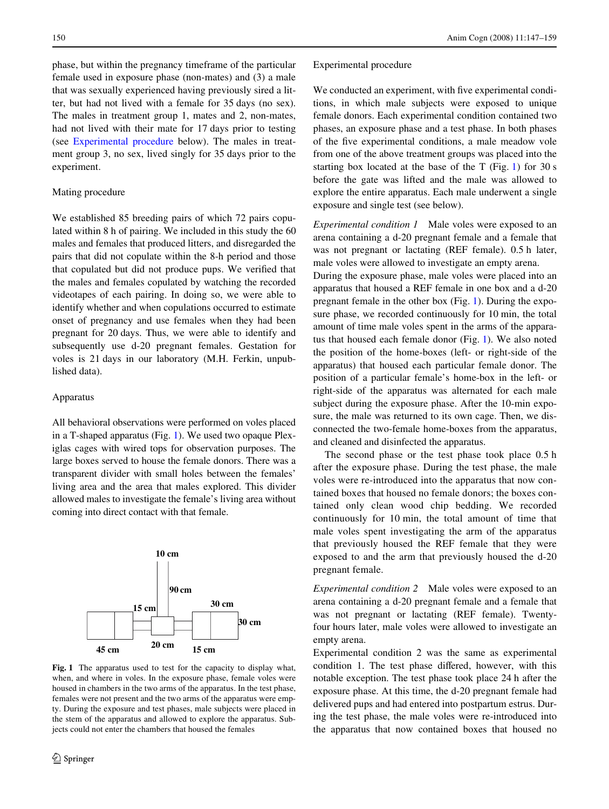phase, but within the pregnancy timeframe of the particular female used in exposure phase (non-mates) and (3) a male that was sexually experienced having previously sired a litter, but had not lived with a female for 35 days (no sex). The males in treatment group 1, mates and 2, non-mates, had not lived with their mate for 17 days prior to testing (see [Experimental procedure](#page-3-0) below). The males in treatment group 3, no sex, lived singly for 35 days prior to the

# Mating procedure

experiment.

We established 85 breeding pairs of which 72 pairs copulated within 8 h of pairing. We included in this study the 60 males and females that produced litters, and disregarded the pairs that did not copulate within the 8-h period and those that copulated but did not produce pups. We verified that the males and females copulated by watching the recorded videotapes of each pairing. In doing so, we were able to identify whether and when copulations occurred to estimate onset of pregnancy and use females when they had been pregnant for 20 days. Thus, we were able to identify and subsequently use d-20 pregnant females. Gestation for voles is 21 days in our laboratory (M.H. Ferkin, unpublished data).

### Apparatus

All behavioral observations were performed on voles placed in a T-shaped apparatus (Fig. [1](#page-3-1)). We used two opaque Plexiglas cages with wired tops for observation purposes. The large boxes served to house the female donors. There was a transparent divider with small holes between the females' living area and the area that males explored. This divider allowed males to investigate the female's living area without coming into direct contact with that female.



<span id="page-3-1"></span>**Fig. 1** The apparatus used to test for the capacity to display what, when, and where in voles. In the exposure phase, female voles were housed in chambers in the two arms of the apparatus. In the test phase, females were not present and the two arms of the apparatus were empty. During the exposure and test phases, male subjects were placed in the stem of the apparatus and allowed to explore the apparatus. Subjects could not enter the chambers that housed the females

### <span id="page-3-0"></span>Experimental procedure

We conducted an experiment, with five experimental conditions, in which male subjects were exposed to unique female donors. Each experimental condition contained two phases, an exposure phase and a test phase. In both phases of the five experimental conditions, a male meadow vole from one of the above treatment groups was placed into the starting box located at the base of the T (Fig. [1](#page-3-1)) for 30 s before the gate was lifted and the male was allowed to explore the entire apparatus. Each male underwent a single exposure and single test (see below).

*Experimental condition 1* Male voles were exposed to an arena containing a d-20 pregnant female and a female that was not pregnant or lactating (REF female). 0.5 h later, male voles were allowed to investigate an empty arena.

During the exposure phase, male voles were placed into an apparatus that housed a REF female in one box and a d-20 pregnant female in the other box (Fig. [1](#page-3-1)). During the exposure phase, we recorded continuously for 10 min, the total amount of time male voles spent in the arms of the apparatus that housed each female donor (Fig. [1](#page-3-1)). We also noted the position of the home-boxes (left- or right-side of the apparatus) that housed each particular female donor. The position of a particular female's home-box in the left- or right-side of the apparatus was alternated for each male subject during the exposure phase. After the 10-min exposure, the male was returned to its own cage. Then, we disconnected the two-female home-boxes from the apparatus, and cleaned and disinfected the apparatus.

The second phase or the test phase took place 0.5 h after the exposure phase. During the test phase, the male voles were re-introduced into the apparatus that now contained boxes that housed no female donors; the boxes contained only clean wood chip bedding. We recorded continuously for 10 min, the total amount of time that male voles spent investigating the arm of the apparatus that previously housed the REF female that they were exposed to and the arm that previously housed the d-20 pregnant female.

*Experimental condition 2* Male voles were exposed to an arena containing a d-20 pregnant female and a female that was not pregnant or lactating (REF female). Twentyfour hours later, male voles were allowed to investigate an empty arena.

Experimental condition 2 was the same as experimental condition 1. The test phase differed, however, with this notable exception. The test phase took place 24 h after the exposure phase. At this time, the d-20 pregnant female had delivered pups and had entered into postpartum estrus. During the test phase, the male voles were re-introduced into the apparatus that now contained boxes that housed no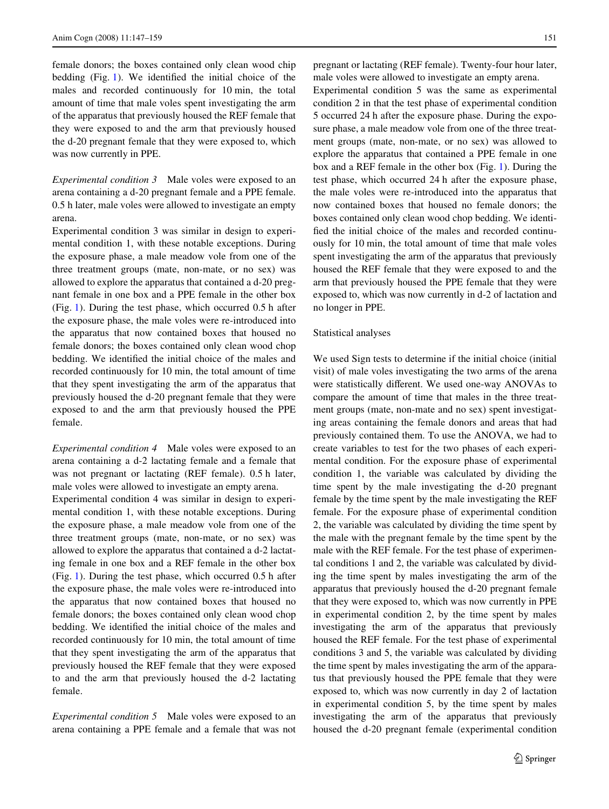female donors; the boxes contained only clean wood chip bedding  $(Fig. 1)$  $(Fig. 1)$ . We identified the initial choice of the males and recorded continuously for 10 min, the total amount of time that male voles spent investigating the arm of the apparatus that previously housed the REF female that they were exposed to and the arm that previously housed the d-20 pregnant female that they were exposed to, which was now currently in PPE.

*Experimental condition 3* Male voles were exposed to an arena containing a d-20 pregnant female and a PPE female. 0.5 h later, male voles were allowed to investigate an empty arena.

Experimental condition 3 was similar in design to experimental condition 1, with these notable exceptions. During the exposure phase, a male meadow vole from one of the three treatment groups (mate, non-mate, or no sex) was allowed to explore the apparatus that contained a d-20 pregnant female in one box and a PPE female in the other box (Fig. [1\)](#page-3-1). During the test phase, which occurred 0.5 h after the exposure phase, the male voles were re-introduced into the apparatus that now contained boxes that housed no female donors; the boxes contained only clean wood chop bedding. We identified the initial choice of the males and recorded continuously for 10 min, the total amount of time that they spent investigating the arm of the apparatus that previously housed the d-20 pregnant female that they were exposed to and the arm that previously housed the PPE female.

*Experimental condition 4* Male voles were exposed to an arena containing a d-2 lactating female and a female that was not pregnant or lactating (REF female). 0.5 h later, male voles were allowed to investigate an empty arena.

Experimental condition 4 was similar in design to experimental condition 1, with these notable exceptions. During the exposure phase, a male meadow vole from one of the three treatment groups (mate, non-mate, or no sex) was allowed to explore the apparatus that contained a d-2 lactating female in one box and a REF female in the other box (Fig. [1\)](#page-3-1). During the test phase, which occurred 0.5 h after the exposure phase, the male voles were re-introduced into the apparatus that now contained boxes that housed no female donors; the boxes contained only clean wood chop bedding. We identified the initial choice of the males and recorded continuously for 10 min, the total amount of time that they spent investigating the arm of the apparatus that previously housed the REF female that they were exposed to and the arm that previously housed the d-2 lactating female.

*Experimental condition 5* Male voles were exposed to an arena containing a PPE female and a female that was not pregnant or lactating (REF female). Twenty-four hour later, male voles were allowed to investigate an empty arena.

Experimental condition 5 was the same as experimental condition 2 in that the test phase of experimental condition 5 occurred 24 h after the exposure phase. During the exposure phase, a male meadow vole from one of the three treatment groups (mate, non-mate, or no sex) was allowed to explore the apparatus that contained a PPE female in one box and a REF female in the other box (Fig. [1](#page-3-1)). During the test phase, which occurred 24 h after the exposure phase, the male voles were re-introduced into the apparatus that now contained boxes that housed no female donors; the boxes contained only clean wood chop bedding. We identified the initial choice of the males and recorded continuously for 10 min, the total amount of time that male voles spent investigating the arm of the apparatus that previously housed the REF female that they were exposed to and the arm that previously housed the PPE female that they were exposed to, which was now currently in d-2 of lactation and no longer in PPE.

### Statistical analyses

We used Sign tests to determine if the initial choice (initial visit) of male voles investigating the two arms of the arena were statistically different. We used one-way ANOVAs to compare the amount of time that males in the three treatment groups (mate, non-mate and no sex) spent investigating areas containing the female donors and areas that had previously contained them. To use the ANOVA, we had to create variables to test for the two phases of each experimental condition. For the exposure phase of experimental condition 1, the variable was calculated by dividing the time spent by the male investigating the d-20 pregnant female by the time spent by the male investigating the REF female. For the exposure phase of experimental condition 2, the variable was calculated by dividing the time spent by the male with the pregnant female by the time spent by the male with the REF female. For the test phase of experimental conditions 1 and 2, the variable was calculated by dividing the time spent by males investigating the arm of the apparatus that previously housed the d-20 pregnant female that they were exposed to, which was now currently in PPE in experimental condition 2, by the time spent by males investigating the arm of the apparatus that previously housed the REF female. For the test phase of experimental conditions 3 and 5, the variable was calculated by dividing the time spent by males investigating the arm of the apparatus that previously housed the PPE female that they were exposed to, which was now currently in day 2 of lactation in experimental condition 5, by the time spent by males investigating the arm of the apparatus that previously housed the d-20 pregnant female (experimental condition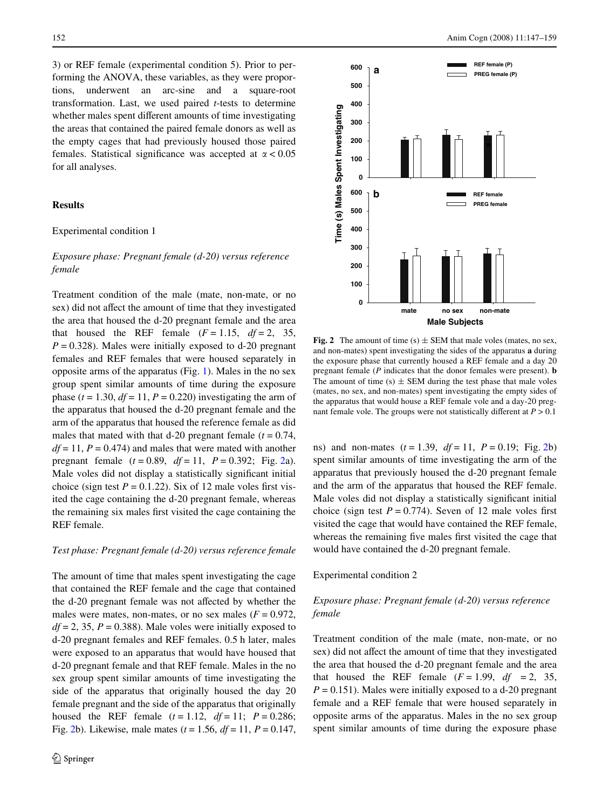3) or REF female (experimental condition 5). Prior to performing the ANOVA, these variables, as they were proportions, underwent an arc-sine and a square-root transformation. Last, we used paired *t*-tests to determine whether males spent different amounts of time investigating the areas that contained the paired female donors as well as the empty cages that had previously housed those paired females. Statistical significance was accepted at  $\alpha$  < 0.05 for all analyses.

# **Results**

### Experimental condition 1

# *Exposure phase: Pregnant female (d-20) versus reference female*

Treatment condition of the male (mate, non-mate, or no sex) did not affect the amount of time that they investigated the area that housed the d-20 pregnant female and the area that housed the REF female  $(F = 1.15, df = 2, 35,$  $P = 0.328$ ). Males were initially exposed to d-20 pregnant females and REF females that were housed separately in opposite arms of the apparatus (Fig. [1\)](#page-3-1). Males in the no sex group spent similar amounts of time during the exposure phase  $(t = 1.30, df = 11, P = 0.220)$  investigating the arm of the apparatus that housed the d-20 pregnant female and the arm of the apparatus that housed the reference female as did males that mated with that d-20 pregnant female  $(t = 0.74,$  $df = 11$ ,  $P = 0.474$ ) and males that were mated with another pregnant female (*t* = 0.89, *df* = 11, *P* = 0.392; Fig. [2a](#page-5-0)). Male voles did not display a statistically significant initial choice (sign test  $P = 0.1.22$ ). Six of 12 male voles first visited the cage containing the d-20 pregnant female, whereas the remaining six males first visited the cage containing the REF female.

### *Test phase: Pregnant female (d-20) versus reference female*

The amount of time that males spent investigating the cage that contained the REF female and the cage that contained the d-20 pregnant female was not affected by whether the males were mates, non-mates, or no sex males  $(F = 0.972)$ ,  $df = 2$ , 35,  $P = 0.388$ ). Male voles were initially exposed to d-20 pregnant females and REF females. 0.5 h later, males were exposed to an apparatus that would have housed that d-20 pregnant female and that REF female. Males in the no sex group spent similar amounts of time investigating the side of the apparatus that originally housed the day 20 female pregnant and the side of the apparatus that originally housed the REF female  $(t = 1.12, df = 11; P = 0.286;$ Fig. [2b](#page-5-0)). Likewise, male mates (*t* = 1.56, *df* = 11, *P* = 0.147,



<span id="page-5-0"></span>**Fig. 2** The amount of time (s)  $\pm$  SEM that male voles (mates, no sex, and non-mates) spent investigating the sides of the apparatus **a** during the exposure phase that currently housed a REF female and a day 20 pregnant female (*P* indicates that the donor females were present). **b** The amount of time  $(s)$   $\pm$  SEM during the test phase that male voles (mates, no sex, and non-mates) spent investigating the empty sides of the apparatus that would house a REF female vole and a day-20 pregnant female vole. The groups were not statistically different at  $P > 0.1$ 

ns) and non-mates  $(t = 1.39, df = 11, P = 0.19; Fig. 2b)$  $(t = 1.39, df = 11, P = 0.19; Fig. 2b)$  $(t = 1.39, df = 11, P = 0.19; Fig. 2b)$ spent similar amounts of time investigating the arm of the apparatus that previously housed the d-20 pregnant female and the arm of the apparatus that housed the REF female. Male voles did not display a statistically significant initial choice (sign test  $P = 0.774$ ). Seven of 12 male voles first visited the cage that would have contained the REF female, whereas the remaining five males first visited the cage that would have contained the d-20 pregnant female.

Experimental condition 2

# *Exposure phase: Pregnant female (d-20) versus reference female*

Treatment condition of the male (mate, non-mate, or no sex) did not affect the amount of time that they investigated the area that housed the d-20 pregnant female and the area that housed the REF female  $(F = 1.99, df = 2, 35,$  $P = 0.151$ . Males were initially exposed to a d-20 pregnant female and a REF female that were housed separately in opposite arms of the apparatus. Males in the no sex group spent similar amounts of time during the exposure phase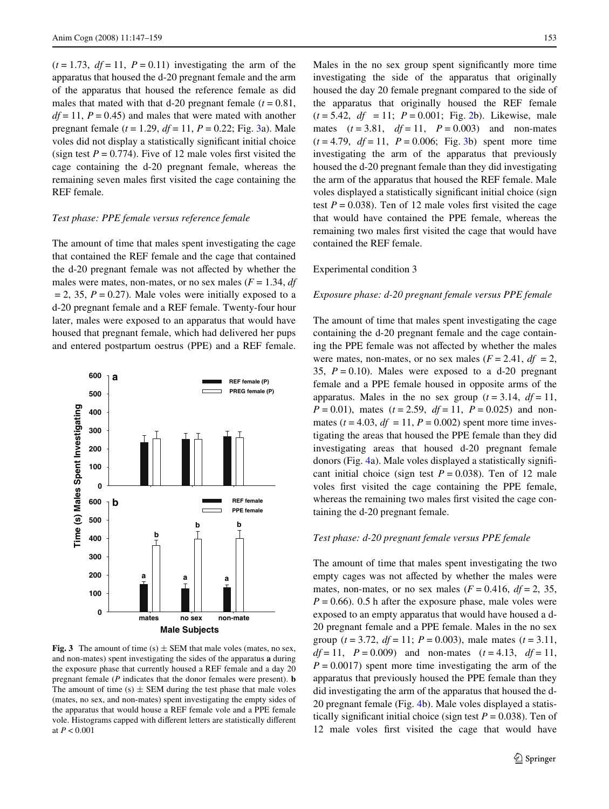$(t = 1.73, df = 11, P = 0.11)$  investigating the arm of the apparatus that housed the d-20 pregnant female and the arm of the apparatus that housed the reference female as did males that mated with that d-20 pregnant female  $(t = 0.81,$  $df = 11$ ,  $P = 0.45$ ) and males that were mated with another pregnant female (*t* = 1.29, *df* = 11, *P* = 0.22; Fig. [3a](#page-6-0)). Male voles did not display a statistically significant initial choice (sign test  $P = 0.774$ ). Five of 12 male voles first visited the cage containing the d-20 pregnant female, whereas the remaining seven males first visited the cage containing the REF female.

# *Test phase: PPE female versus reference female*

The amount of time that males spent investigating the cage that contained the REF female and the cage that contained the d-20 pregnant female was not affected by whether the males were mates, non-mates, or no sex males  $(F = 1.34, df)$  $= 2$ , 35,  $P = 0.27$ ). Male voles were initially exposed to a d-20 pregnant female and a REF female. Twenty-four hour later, males were exposed to an apparatus that would have housed that pregnant female, which had delivered her pups and entered postpartum oestrus (PPE) and a REF female.



<span id="page-6-0"></span>**Fig. 3** The amount of time  $(s) \pm$  SEM that male voles (mates, no sex, and non-mates) spent investigating the sides of the apparatus **a** during the exposure phase that currently housed a REF female and a day 20 pregnant female (*P* indicates that the donor females were present). **b** The amount of time  $(s) \pm$  SEM during the test phase that male voles (mates, no sex, and non-mates) spent investigating the empty sides of the apparatus that would house a REF female vole and a PPE female vole. Histograms capped with different letters are statistically different at *P* < 0.001

Males in the no sex group spent significantly more time investigating the side of the apparatus that originally housed the day 20 female pregnant compared to the side of the apparatus that originally housed the REF female  $(t = 5.42, df = 11; P = 0.001; Fig. 2b)$  $(t = 5.42, df = 11; P = 0.001; Fig. 2b)$  $(t = 5.42, df = 11; P = 0.001; Fig. 2b)$ . Likewise, male mates  $(t = 3.81, df = 11, P = 0.003)$  and non-mates  $(t = 4.79, df = 11, P = 0.006; Fig. 3b)$  $(t = 4.79, df = 11, P = 0.006; Fig. 3b)$  $(t = 4.79, df = 11, P = 0.006; Fig. 3b)$  spent more time investigating the arm of the apparatus that previously housed the d-20 pregnant female than they did investigating the arm of the apparatus that housed the REF female. Male voles displayed a statistically significant initial choice (sign test  $P = 0.038$ ). Ten of 12 male voles first visited the cage that would have contained the PPE female, whereas the remaining two males first visited the cage that would have contained the REF female.

### Experimental condition 3

### *Exposure phase: d-20 pregnant female versus PPE female*

The amount of time that males spent investigating the cage containing the d-20 pregnant female and the cage containing the PPE female was not affected by whether the males were mates, non-mates, or no sex males  $(F = 2.41, df = 2,$ 35,  $P = 0.10$ ). Males were exposed to a d-20 pregnant female and a PPE female housed in opposite arms of the apparatus. Males in the no sex group  $(t = 3.14, df = 11,$ *P* = 0.01), mates (*t* = 2.59, *df* = 11, *P* = 0.025) and nonmates ( $t = 4.03$ ,  $df = 11$ ,  $P = 0.002$ ) spent more time investigating the areas that housed the PPE female than they did investigating areas that housed d-20 pregnant female donors (Fig.  $4a$  $4a$ ). Male voles displayed a statistically significant initial choice (sign test  $P = 0.038$ ). Ten of 12 male voles first visited the cage containing the PPE female, whereas the remaining two males first visited the cage containing the d-20 pregnant female.

#### *Test phase: d-20 pregnant female versus PPE female*

The amount of time that males spent investigating the two empty cages was not affected by whether the males were mates, non-mates, or no sex males  $(F = 0.416, df = 2, 35,$  $P = 0.66$ ). 0.5 h after the exposure phase, male voles were exposed to an empty apparatus that would have housed a d-20 pregnant female and a PPE female. Males in the no sex group ( $t = 3.72$ ,  $df = 11$ ;  $P = 0.003$ ), male mates ( $t = 3.11$ , *df* = 11, *P* = 0.009) and non-mates (*t* = 4.13, *df* = 11,  $P = 0.0017$  spent more time investigating the arm of the apparatus that previously housed the PPE female than they did investigating the arm of the apparatus that housed the d-20 pregnant female (Fig. [4b](#page-7-0)). Male voles displayed a statistically significant initial choice (sign test  $P = 0.038$ ). Ten of 12 male voles first visited the cage that would have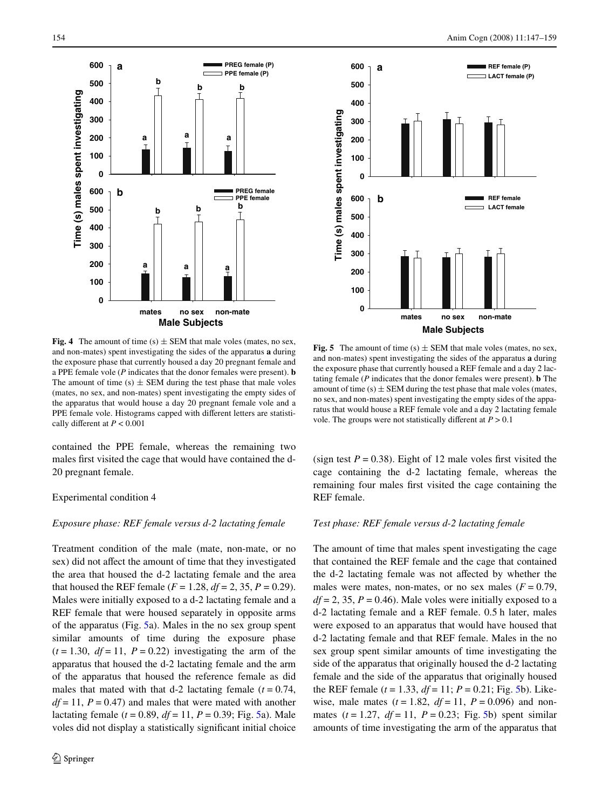



<span id="page-7-0"></span>**Fig. 4** The amount of time  $(s) \pm$  SEM that male voles (mates, no sex, and non-mates) spent investigating the sides of the apparatus **a** during the exposure phase that currently housed a day 20 pregnant female and a PPE female vole (*P* indicates that the donor females were present). **b** The amount of time  $(s) \pm$  SEM during the test phase that male voles (mates, no sex, and non-mates) spent investigating the empty sides of the apparatus that would house a day 20 pregnant female vole and a PPE female vole. Histograms capped with different letters are statistically different at  $P < 0.001$ 

contained the PPE female, whereas the remaining two males first visited the cage that would have contained the d-20 pregnant female.

#### Experimental condition 4

# *Exposure phase: REF female versus d-2 lactating female*

Treatment condition of the male (mate, non-mate, or no sex) did not affect the amount of time that they investigated the area that housed the d-2 lactating female and the area that housed the REF female  $(F = 1.28, df = 2, 35, P = 0.29)$ . Males were initially exposed to a d-2 lactating female and a REF female that were housed separately in opposite arms of the apparatus (Fig. [5a](#page-7-1)). Males in the no sex group spent similar amounts of time during the exposure phase  $(t = 1.30, df = 11, P = 0.22)$  investigating the arm of the apparatus that housed the d-2 lactating female and the arm of the apparatus that housed the reference female as did males that mated with that  $d-2$  lactating female  $(t = 0.74,$  $df = 11$ ,  $P = 0.47$ ) and males that were mated with another lactating female  $(t = 0.89, df = 11, P = 0.39; Fig. 5a)$  $(t = 0.89, df = 11, P = 0.39; Fig. 5a)$  $(t = 0.89, df = 11, P = 0.39; Fig. 5a)$ . Male voles did not display a statistically significant initial choice

<span id="page-7-1"></span>**Fig. 5** The amount of time  $(s)$   $\pm$  SEM that male voles (mates, no sex, and non-mates) spent investigating the sides of the apparatus **a** during the exposure phase that currently housed a REF female and a day 2 lactating female (*P* indicates that the donor females were present). **b** The amount of time  $(s) \pm$  SEM during the test phase that male voles (mates, no sex, and non-mates) spent investigating the empty sides of the apparatus that would house a REF female vole and a day 2 lactating female vole. The groups were not statistically different at  $P > 0.1$ 

(sign test  $P = 0.38$ ). Eight of 12 male voles first visited the cage containing the d-2 lactating female, whereas the remaining four males first visited the cage containing the REF female.

# *Test phase: REF female versus d-2 lactating female*

The amount of time that males spent investigating the cage that contained the REF female and the cage that contained the d-2 lactating female was not affected by whether the males were mates, non-mates, or no sex males  $(F = 0.79)$ ,  $df = 2$ , 35,  $P = 0.46$ ). Male voles were initially exposed to a d-2 lactating female and a REF female. 0.5 h later, males were exposed to an apparatus that would have housed that d-2 lactating female and that REF female. Males in the no sex group spent similar amounts of time investigating the side of the apparatus that originally housed the d-2 lactating female and the side of the apparatus that originally housed the REF female  $(t = 1.33, df = 11; P = 0.21; Fig. 5b)$  $(t = 1.33, df = 11; P = 0.21; Fig. 5b)$  $(t = 1.33, df = 11; P = 0.21; Fig. 5b)$ . Likewise, male mates  $(t = 1.82, df = 11, P = 0.096)$  and nonmates  $(t = 1.27, df = 11, P = 0.23$ ; Fig. [5](#page-7-1)b) spent similar amounts of time investigating the arm of the apparatus that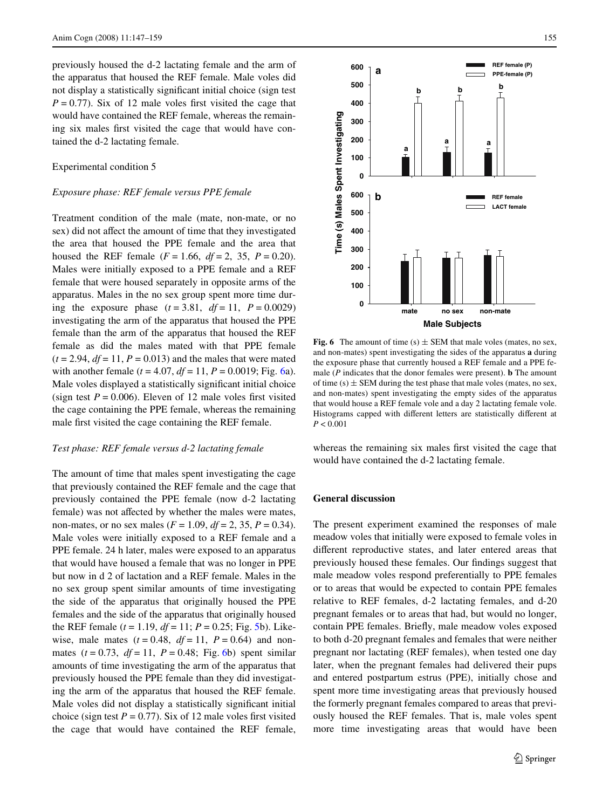previously housed the d-2 lactating female and the arm of the apparatus that housed the REF female. Male voles did not display a statistically significant initial choice (sign test)  $P = 0.77$ ). Six of 12 male voles first visited the cage that would have contained the REF female, whereas the remaining six males first visited the cage that would have contained the d-2 lactating female.

# Experimental condition 5

### *Exposure phase: REF female versus PPE female*

Treatment condition of the male (mate, non-mate, or no sex) did not affect the amount of time that they investigated the area that housed the PPE female and the area that housed the REF female  $(F = 1.66, df = 2, 35, P = 0.20)$ . Males were initially exposed to a PPE female and a REF female that were housed separately in opposite arms of the apparatus. Males in the no sex group spent more time during the exposure phase  $(t = 3.81, df = 11, P = 0.0029)$ investigating the arm of the apparatus that housed the PPE female than the arm of the apparatus that housed the REF female as did the males mated with that PPE female  $(t = 2.94, df = 11, P = 0.013)$  and the males that were mated with another female  $(t = 4.07, df = 11, P = 0.0019; Fig. 6a)$  $(t = 4.07, df = 11, P = 0.0019; Fig. 6a)$  $(t = 4.07, df = 11, P = 0.0019; Fig. 6a)$ . Male voles displayed a statistically significant initial choice (sign test  $P = 0.006$ ). Eleven of 12 male voles first visited the cage containing the PPE female, whereas the remaining male first visited the cage containing the REF female.

# *Test phase: REF female versus d-2 lactating female*

The amount of time that males spent investigating the cage that previously contained the REF female and the cage that previously contained the PPE female (now d-2 lactating female) was not affected by whether the males were mates, non-mates, or no sex males ( $F = 1.09$ ,  $df = 2$ , 35,  $P = 0.34$ ). Male voles were initially exposed to a REF female and a PPE female. 24 h later, males were exposed to an apparatus that would have housed a female that was no longer in PPE but now in d 2 of lactation and a REF female. Males in the no sex group spent similar amounts of time investigating the side of the apparatus that originally housed the PPE females and the side of the apparatus that originally housed the REF female  $(t = 1.19, df = 11; P = 0.25; Fig. 5b)$  $(t = 1.19, df = 11; P = 0.25; Fig. 5b)$  $(t = 1.19, df = 11; P = 0.25; Fig. 5b)$ . Likewise, male mates  $(t = 0.48, df = 11, P = 0.64)$  and nonmates  $(t = 0.73, df = 11, P = 0.48; Fig. 6b)$  $(t = 0.73, df = 11, P = 0.48; Fig. 6b)$  $(t = 0.73, df = 11, P = 0.48; Fig. 6b)$  spent similar amounts of time investigating the arm of the apparatus that previously housed the PPE female than they did investigating the arm of the apparatus that housed the REF female. Male voles did not display a statistically significant initial choice (sign test  $P = 0.77$ ). Six of 12 male voles first visited the cage that would have contained the REF female,



<span id="page-8-0"></span>**Fig. 6** The amount of time (s)  $\pm$  SEM that male voles (mates, no sex, and non-mates) spent investigating the sides of the apparatus **a** during the exposure phase that currently housed a REF female and a PPE female (*P* indicates that the donor females were present). **b** The amount of time (s)  $\pm$  SEM during the test phase that male voles (mates, no sex, and non-mates) spent investigating the empty sides of the apparatus that would house a REF female vole and a day 2 lactating female vole. Histograms capped with different letters are statistically different at *P* < 0.001

whereas the remaining six males first visited the cage that would have contained the d-2 lactating female.

# **General discussion**

The present experiment examined the responses of male meadow voles that initially were exposed to female voles in different reproductive states, and later entered areas that previously housed these females. Our findings suggest that male meadow voles respond preferentially to PPE females or to areas that would be expected to contain PPE females relative to REF females, d-2 lactating females, and d-20 pregnant females or to areas that had, but would no longer, contain PPE females. Briefly, male meadow voles exposed to both d-20 pregnant females and females that were neither pregnant nor lactating (REF females), when tested one day later, when the pregnant females had delivered their pups and entered postpartum estrus (PPE), initially chose and spent more time investigating areas that previously housed the formerly pregnant females compared to areas that previously housed the REF females. That is, male voles spent more time investigating areas that would have been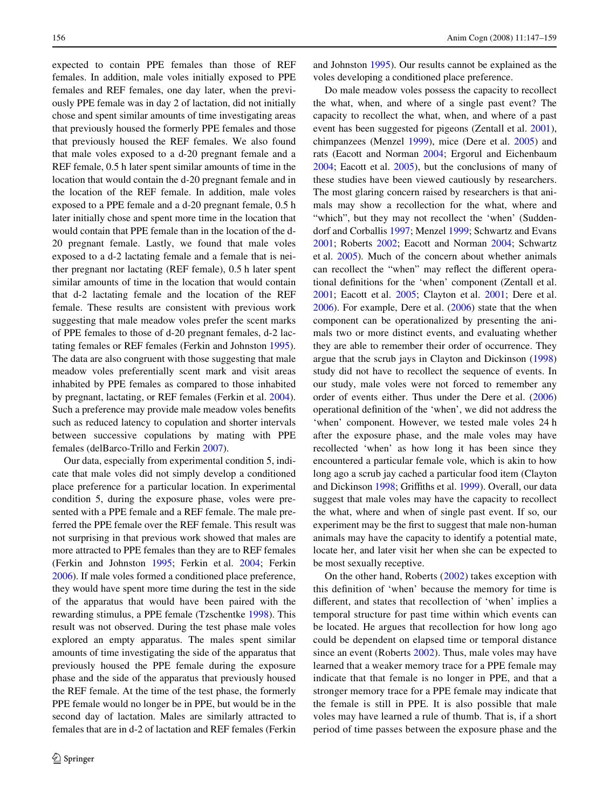expected to contain PPE females than those of REF females. In addition, male voles initially exposed to PPE females and REF females, one day later, when the previously PPE female was in day 2 of lactation, did not initially chose and spent similar amounts of time investigating areas that previously housed the formerly PPE females and those that previously housed the REF females. We also found that male voles exposed to a d-20 pregnant female and a REF female, 0.5 h later spent similar amounts of time in the location that would contain the d-20 pregnant female and in the location of the REF female. In addition, male voles exposed to a PPE female and a d-20 pregnant female, 0.5 h later initially chose and spent more time in the location that would contain that PPE female than in the location of the d-20 pregnant female. Lastly, we found that male voles exposed to a d-2 lactating female and a female that is neither pregnant nor lactating (REF female), 0.5 h later spent similar amounts of time in the location that would contain that d-2 lactating female and the location of the REF female. These results are consistent with previous work suggesting that male meadow voles prefer the scent marks of PPE females to those of d-20 pregnant females, d-2 lactating females or REF females (Ferkin and Johnston [1995](#page-11-34)). The data are also congruent with those suggesting that male meadow voles preferentially scent mark and visit areas inhabited by PPE females as compared to those inhabited by pregnant, lactating, or REF females (Ferkin et al. [2004](#page-11-31)). Such a preference may provide male meadow voles benefits such as reduced latency to copulation and shorter intervals between successive copulations by mating with PPE females (delBarco-Trillo and Ferkin [2007](#page-11-32)).

Our data, especially from experimental condition 5, indicate that male voles did not simply develop a conditioned place preference for a particular location. In experimental condition 5, during the exposure phase, voles were presented with a PPE female and a REF female. The male preferred the PPE female over the REF female. This result was not surprising in that previous work showed that males are more attracted to PPE females than they are to REF females (Ferkin and Johnston [1995](#page-11-34); Ferkin et al. [2004](#page-11-31); Ferkin [2006](#page-11-37)). If male voles formed a conditioned place preference, they would have spent more time during the test in the side of the apparatus that would have been paired with the rewarding stimulus, a PPE female (Tzschentke [1998\)](#page-12-4). This result was not observed. During the test phase male voles explored an empty apparatus. The males spent similar amounts of time investigating the side of the apparatus that previously housed the PPE female during the exposure phase and the side of the apparatus that previously housed the REF female. At the time of the test phase, the formerly PPE female would no longer be in PPE, but would be in the second day of lactation. Males are similarly attracted to females that are in d-2 of lactation and REF females (Ferkin and Johnston [1995\)](#page-11-34). Our results cannot be explained as the voles developing a conditioned place preference.

Do male meadow voles possess the capacity to recollect the what, when, and where of a single past event? The capacity to recollect the what, when, and where of a past event has been suggested for pigeons (Zentall et al. [2001\)](#page-12-3), chimpanzees (Menzel [1999](#page-11-15)), mice (Dere et al. [2005\)](#page-11-16) and rats (Eacott and Norman [2004;](#page-11-18) Ergorul and Eichenbaum [2004](#page-11-19); Eacott et al. [2005](#page-11-21)), but the conclusions of many of these studies have been viewed cautiously by researchers. The most glaring concern raised by researchers is that animals may show a recollection for the what, where and "which", but they may not recollect the 'when' (Suddendorf and Corballis [1997](#page-11-6); Menzel [1999](#page-11-15); Schwartz and Evans [2001](#page-11-23); Roberts [2002](#page-11-3); Eacott and Norman [2004](#page-11-18); Schwartz et al. [2005\)](#page-11-14). Much of the concern about whether animals can recollect the "when" may reflect the different operational definitions for the 'when' component (Zentall et al. [2001](#page-12-3); Eacott et al. [2005](#page-11-21); Clayton et al. [2001](#page-11-8); Dere et al. [2006](#page-11-2)). For example, Dere et al. ([2006\)](#page-11-2) state that the when component can be operationalized by presenting the animals two or more distinct events, and evaluating whether they are able to remember their order of occurrence. They argue that the scrub jays in Clayton and Dickinson [\(1998\)](#page-11-7) study did not have to recollect the sequence of events. In our study, male voles were not forced to remember any order of events either. Thus under the Dere et al. ([2006\)](#page-11-2) operational definition of the 'when', we did not address the 'when' component. However, we tested male voles 24 h after the exposure phase, and the male voles may have recollected 'when' as how long it has been since they encountered a particular female vole, which is akin to how long ago a scrub jay cached a particular food item (Clayton and Dickinson [1998;](#page-11-7) Griffiths et al. [1999\)](#page-11-38). Overall, our data suggest that male voles may have the capacity to recollect the what, where and when of single past event. If so, our experiment may be the first to suggest that male non-human animals may have the capacity to identify a potential mate, locate her, and later visit her when she can be expected to be most sexually receptive.

On the other hand, Roberts ([2002](#page-11-3)) takes exception with this definition of 'when' because the memory for time is different, and states that recollection of 'when' implies a temporal structure for past time within which events can be located. He argues that recollection for how long ago could be dependent on elapsed time or temporal distance since an event (Roberts [2002\)](#page-11-3). Thus, male voles may have learned that a weaker memory trace for a PPE female may indicate that that female is no longer in PPE, and that a stronger memory trace for a PPE female may indicate that the female is still in PPE. It is also possible that male voles may have learned a rule of thumb. That is, if a short period of time passes between the exposure phase and the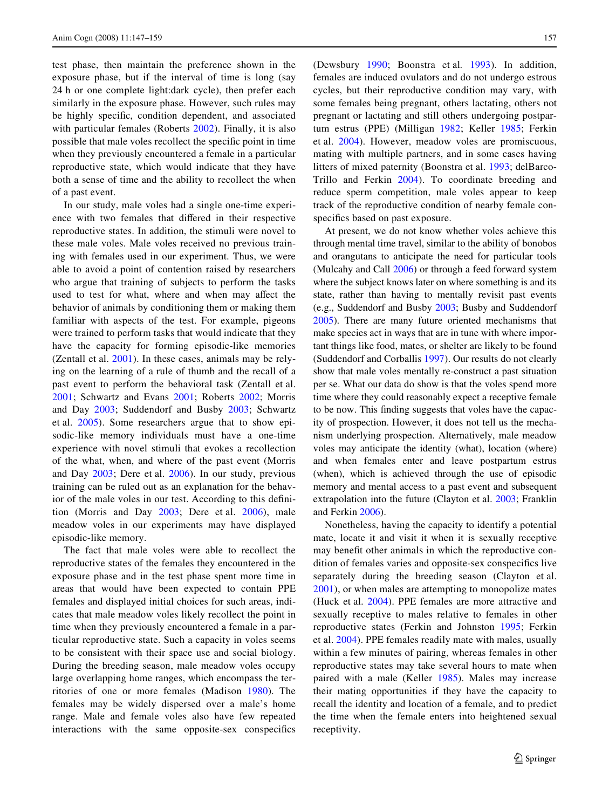test phase, then maintain the preference shown in the exposure phase, but if the interval of time is long (say 24 h or one complete light:dark cycle), then prefer each similarly in the exposure phase. However, such rules may be highly specific, condition dependent, and associated with particular females (Roberts [2002](#page-11-3)). Finally, it is also possible that male voles recollect the specific point in time when they previously encountered a female in a particular reproductive state, which would indicate that they have both a sense of time and the ability to recollect the when of a past event.

In our study, male voles had a single one-time experience with two females that differed in their respective reproductive states. In addition, the stimuli were novel to these male voles. Male voles received no previous training with females used in our experiment. Thus, we were able to avoid a point of contention raised by researchers who argue that training of subjects to perform the tasks used to test for what, where and when may affect the behavior of animals by conditioning them or making them familiar with aspects of the test. For example, pigeons were trained to perform tasks that would indicate that they have the capacity for forming episodic-like memories (Zentall et al. [2001](#page-12-3)). In these cases, animals may be relying on the learning of a rule of thumb and the recall of a past event to perform the behavioral task (Zentall et al. [2001;](#page-12-3) Schwartz and Evans [2001](#page-11-23); Roberts [2002](#page-11-3); Morris and Day [2003;](#page-11-17) Suddendorf and Busby [2003](#page-11-4); Schwartz et al. [2005](#page-11-14)). Some researchers argue that to show episodic-like memory individuals must have a one-time experience with novel stimuli that evokes a recollection of the what, when, and where of the past event (Morris and Day [2003;](#page-11-17) Dere et al. [2006\)](#page-11-2). In our study, previous training can be ruled out as an explanation for the behavior of the male voles in our test. According to this definition (Morris and Day [2003](#page-11-17); Dere et al. [2006](#page-11-2)), male meadow voles in our experiments may have displayed episodic-like memory.

The fact that male voles were able to recollect the reproductive states of the females they encountered in the exposure phase and in the test phase spent more time in areas that would have been expected to contain PPE females and displayed initial choices for such areas, indicates that male meadow voles likely recollect the point in time when they previously encountered a female in a particular reproductive state. Such a capacity in voles seems to be consistent with their space use and social biology. During the breeding season, male meadow voles occupy large overlapping home ranges, which encompass the territories of one or more females (Madison [1980\)](#page-11-27). The females may be widely dispersed over a male's home range. Male and female voles also have few repeated interactions with the same opposite-sex conspecifics (Dewsbury [1990;](#page-11-39) Boonstra et al*.* [1993\)](#page-11-33). In addition, females are induced ovulators and do not undergo estrous cycles, but their reproductive condition may vary, with some females being pregnant, others lactating, others not pregnant or lactating and still others undergoing postpartum estrus (PPE) (Milligan [1982](#page-11-28); Keller [1985;](#page-11-30) Ferkin et al. [2004](#page-11-31)). However, meadow voles are promiscuous, mating with multiple partners, and in some cases having litters of mixed paternity (Boonstra et al. [1993](#page-11-33); delBarco-Trillo and Ferkin [2004](#page-11-35)). To coordinate breeding and reduce sperm competition, male voles appear to keep track of the reproductive condition of nearby female conspecifics based on past exposure.

At present, we do not know whether voles achieve this through mental time travel, similar to the ability of bonobos and orangutans to anticipate the need for particular tools (Mulcahy and Call [2006](#page-11-40)) or through a feed forward system where the subject knows later on where something is and its state, rather than having to mentally revisit past events (e.g., Suddendorf and Busby [2003;](#page-11-4) Busby and Suddendorf [2005](#page-11-41)). There are many future oriented mechanisms that make species act in ways that are in tune with where important things like food, mates, or shelter are likely to be found (Suddendorf and Corballis [1997\)](#page-11-6). Our results do not clearly show that male voles mentally re-construct a past situation per se. What our data do show is that the voles spend more time where they could reasonably expect a receptive female to be now. This finding suggests that voles have the capacity of prospection. However, it does not tell us the mechanism underlying prospection. Alternatively, male meadow voles may anticipate the identity (what), location (where) and when females enter and leave postpartum estrus (when), which is achieved through the use of episodic memory and mental access to a past event and subsequent extrapolation into the future (Clayton et al. [2003](#page-11-9); Franklin and Ferkin [2006\)](#page-11-42).

Nonetheless, having the capacity to identify a potential mate, locate it and visit it when it is sexually receptive may benefit other animals in which the reproductive condition of females varies and opposite-sex conspecifics live separately during the breeding season (Clayton et al. [2001\)](#page-11-8), or when males are attempting to monopolize mates (Huck et al. [2004\)](#page-11-43). PPE females are more attractive and sexually receptive to males relative to females in other reproductive states (Ferkin and Johnston [1995](#page-11-34); Ferkin et al. [2004](#page-11-31)). PPE females readily mate with males, usually within a few minutes of pairing, whereas females in other reproductive states may take several hours to mate when paired with a male (Keller [1985\)](#page-11-30). Males may increase their mating opportunities if they have the capacity to recall the identity and location of a female, and to predict the time when the female enters into heightened sexual receptivity.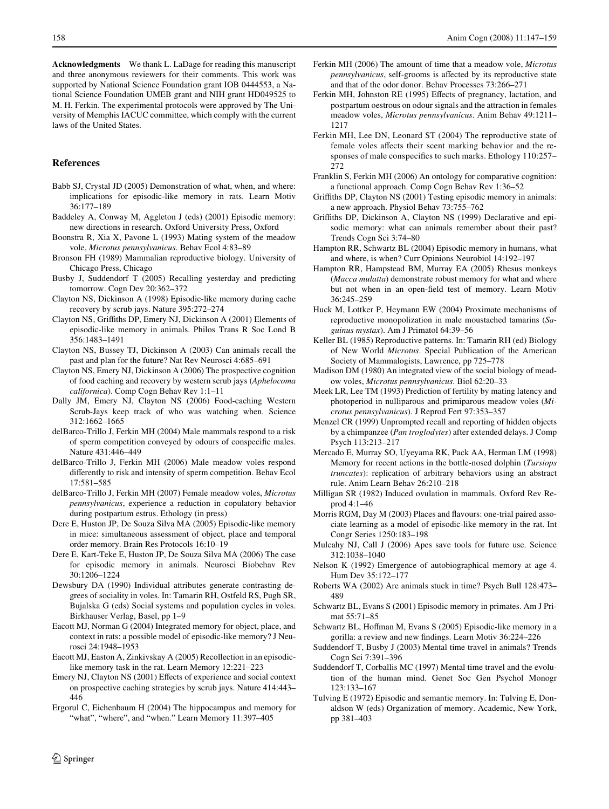**Acknowledgments** We thank L. LaDage for reading this manuscript and three anonymous reviewers for their comments. This work was supported by National Science Foundation grant IOB 0444553, a National Science Foundation UMEB grant and NIH grant HD049525 to M. H. Ferkin. The experimental protocols were approved by The University of Memphis IACUC committee, which comply with the current laws of the United States.

# **References**

- <span id="page-11-20"></span>Babb SJ, Crystal JD (2005) Demonstration of what, when, and where: implications for episodic-like memory in rats. Learn Motiv 36:177–189
- <span id="page-11-1"></span>Baddeley A, Conway M, Aggleton J (eds) (2001) Episodic memory: new directions in research. Oxford University Press, Oxford
- <span id="page-11-33"></span>Boonstra R, Xia X, Pavone L (1993) Mating system of the meadow vole, *Microtus pennsylvanicus*. Behav Ecol 4:83–89
- <span id="page-11-26"></span>Bronson FH (1989) Mammalian reproductive biology. University of Chicago Press, Chicago
- <span id="page-11-41"></span>Busby J, Suddendorf T (2005) Recalling yesterday and predicting tomorrow. Cogn Dev 20:362–372
- <span id="page-11-7"></span>Clayton NS, Dickinson A (1998) Episodic-like memory during cache recovery by scrub jays. Nature 395:272–274
- <span id="page-11-8"></span>Clayton NS, Griffiths DP, Emery NJ, Dickinson A (2001) Elements of episodic-like memory in animals. Philos Trans R Soc Lond B 356:1483–1491
- <span id="page-11-9"></span>Clayton NS, Bussey TJ, Dickinson A (2003) Can animals recall the past and plan for the future? Nat Rev Neurosci 4:685–691
- <span id="page-11-10"></span>Clayton NS, Emery NJ, Dickinson A (2006) The prospective cognition of food caching and recovery by western scrub jays (*Aphelocoma californica*). Comp Cogn Behav Rev 1:1–11
- <span id="page-11-13"></span>Dally JM, Emery NJ, Clayton NS (2006) Food-caching Western Scrub-Jays keep track of who was watching when. Science 312:1662–1665
- <span id="page-11-35"></span>delBarco-Trillo J, Ferkin MH (2004) Male mammals respond to a risk of sperm competition conveyed by odours of conspecific males. Nature 431:446–449
- <span id="page-11-36"></span>delBarco-Trillo J, Ferkin MH (2006) Male meadow voles respond differently to risk and intensity of sperm competition. Behav Ecol 17:581–585
- <span id="page-11-32"></span>delBarco-Trillo J, Ferkin MH (2007) Female meadow voles, *Microtus pennsylvanicus*, experience a reduction in copulatory behavior during postpartum estrus. Ethology (in press)
- <span id="page-11-16"></span>Dere E, Huston JP, De Souza Silva MA (2005) Episodic-like memory in mice: simultaneous assessment of object, place and temporal order memory. Brain Res Protocols 16:10–19
- <span id="page-11-2"></span>Dere E, Kart-Teke E, Huston JP, De Souza Silva MA (2006) The case for episodic memory in animals. Neurosci Biobehav Rev 30:1206–1224
- <span id="page-11-39"></span>Dewsbury DA (1990) Individual attributes generate contrasting degrees of sociality in voles. In: Tamarin RH, Ostfeld RS, Pugh SR, Bujalska G (eds) Social systems and population cycles in voles. Birkhauser Verlag, Basel, pp 1–9
- <span id="page-11-18"></span>Eacott MJ, Norman G (2004) Integrated memory for object, place, and context in rats: a possible model of episodic-like memory? J Neurosci 24:1948–1953
- <span id="page-11-21"></span>Eacott MJ, Easton A, Zinkivskay A (2005) Recollection in an episodiclike memory task in the rat. Learn Memory 12:221–223
- <span id="page-11-12"></span>Emery NJ, Clayton NS (2001) Effects of experience and social context on prospective caching strategies by scrub jays. Nature 414:443– 446
- <span id="page-11-19"></span>Ergorul C, Eichenbaum H (2004) The hippocampus and memory for "what", "where", and "when." Learn Memory 11:397-405
- <span id="page-11-37"></span>Ferkin MH (2006) The amount of time that a meadow vole, *Microtus pennsylvanicus*, self-grooms is affected by its reproductive state and that of the odor donor. Behav Processes 73:266–271
- <span id="page-11-34"></span>Ferkin MH, Johnston RE (1995) Effects of pregnancy, lactation, and postpartum oestrous on odour signals and the attraction in females meadow voles, *Microtus pennsylvanicus*. Anim Behav 49:1211– 1217
- <span id="page-11-31"></span>Ferkin MH, Lee DN, Leonard ST (2004) The reproductive state of female voles affects their scent marking behavior and the responses of male conspecifics to such marks. Ethology 110:257– 272
- <span id="page-11-42"></span>Franklin S, Ferkin MH (2006) An ontology for comparative cognition: a functional approach. Comp Cogn Behav Rev 1:36–52
- <span id="page-11-11"></span>Griffiths DP, Clayton NS (2001) Testing episodic memory in animals: a new approach. Physiol Behav 73:755–762
- <span id="page-11-38"></span>Griffiths DP, Dickinson A, Clayton NS (1999) Declarative and episodic memory: what can animals remember about their past? Trends Cogn Sci 3:74–80
- <span id="page-11-24"></span>Hampton RR, Schwartz BL (2004) Episodic memory in humans, what and where, is when? Curr Opinions Neurobiol 14:192–197
- <span id="page-11-25"></span>Hampton RR, Hampstead BM, Murray EA (2005) Rhesus monkeys (*Macca mulatta*) demonstrate robust memory for what and where but not when in an open-field test of memory. Learn Motiv 36:245–259
- <span id="page-11-43"></span>Huck M, Lottker P, Heymann EW (2004) Proximate mechanisms of reproductive monopolization in male moustached tamarins (*Saguinus mystax*). Am J Primatol 64:39–56
- <span id="page-11-30"></span>Keller BL (1985) Reproductive patterns. In: Tamarin RH (ed) Biology of New World *Microtus*. Special Publication of the American Society of Mammalogists, Lawrence, pp 725–778
- <span id="page-11-27"></span>Madison DM (1980) An integrated view of the social biology of meadow voles, *Microtus pennsylvanicus*. Biol 62:20–33
- <span id="page-11-29"></span>Meek LR, Lee TM (1993) Prediction of fertility by mating latency and photoperiod in nulliparous and primiparous meadow voles (*Microtus pennsylvanicus*). J Reprod Fert 97:353–357
- <span id="page-11-15"></span>Menzel CR (1999) Unprompted recall and reporting of hidden objects by a chimpanzee (*Pan troglodytes*) after extended delays. J Comp Psych 113:213–217
- <span id="page-11-22"></span>Mercado E, Murray SO, Uyeyama RK, Pack AA, Herman LM (1998) Memory for recent actions in the bottle-nosed dolphin (*Tursiops truncates*): replication of arbitrary behaviors using an abstract rule. Anim Learn Behav 26:210–218
- <span id="page-11-28"></span>Milligan SR (1982) Induced ovulation in mammals. Oxford Rev Reprod 4:1–46
- <span id="page-11-17"></span>Morris RGM, Day M (2003) Places and flavours: one-trial paired associate learning as a model of episodic-like memory in the rat. Int Congr Series 1250:183–198
- <span id="page-11-40"></span>Mulcahy NJ, Call J (2006) Apes save tools for future use. Science 312:1038–1040
- <span id="page-11-5"></span>Nelson K (1992) Emergence of autobiographical memory at age 4. Hum Dev 35:172–177
- <span id="page-11-3"></span>Roberts WA (2002) Are animals stuck in time? Psych Bull 128:473– 489
- <span id="page-11-23"></span>Schwartz BL, Evans S (2001) Episodic memory in primates. Am J Primat 55:71–85
- <span id="page-11-14"></span>Schwartz BL, Hoffman M, Evans S (2005) Episodic-like memory in a gorilla: a review and new findings. Learn Motiv 36:224-226
- <span id="page-11-4"></span>Suddendorf T, Busby J (2003) Mental time travel in animals? Trends Cogn Sci 7:391–396
- <span id="page-11-6"></span>Suddendorf T, Corballis MC (1997) Mental time travel and the evolution of the human mind. Genet Soc Gen Psychol Monogr 123:133–167
- <span id="page-11-0"></span>Tulving E (1972) Episodic and semantic memory. In: Tulving E, Donaldson W (eds) Organization of memory. Academic, New York, pp 381–403